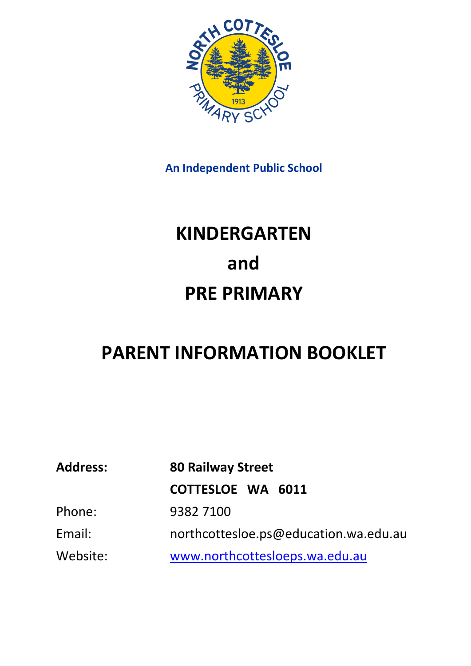

**An Independent Public School**

# **KINDERGARTEN and PRE PRIMARY**

# **PARENT INFORMATION BOOKLET**

| <b>Address:</b> | <b>80 Railway Street</b>              |  |  |  |
|-----------------|---------------------------------------|--|--|--|
|                 | COTTESLOE WA 6011                     |  |  |  |
| Phone:          | 93827100                              |  |  |  |
| Email:          | northcottesloe.ps@education.wa.edu.au |  |  |  |
| Website:        | www.northcottesloeps.wa.edu.au        |  |  |  |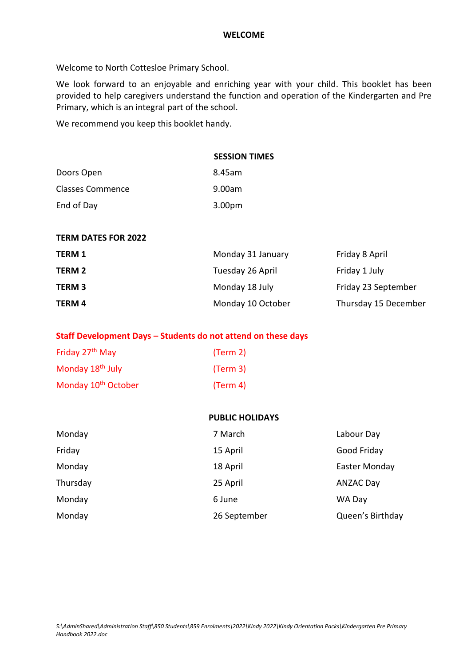Welcome to North Cottesloe Primary School.

We look forward to an enjoyable and enriching year with your child. This booklet has been provided to help caregivers understand the function and operation of the Kindergarten and Pre Primary, which is an integral part of the school.

We recommend you keep this booklet handy.

|                         | <b>SESSION TIMES</b> |
|-------------------------|----------------------|
| Doors Open              | 8.45am               |
| <b>Classes Commence</b> | 9.00am               |
| End of Day              | 3.00pm               |

#### **TERM DATES FOR 2022**

| <b>TERM 1</b> | Monday 31 January | Friday 8 April       |
|---------------|-------------------|----------------------|
| TERM 2        | Tuesday 26 April  | Friday 1 July        |
| <b>TERM3</b>  | Monday 18 July    | Friday 23 September  |
| TERM 4        | Monday 10 October | Thursday 15 December |

#### **Staff Development Days – Students do not attend on these days**

| Friday 27 <sup>th</sup> May     | (Term 2) |
|---------------------------------|----------|
| Monday 18 <sup>th</sup> July    | (Term 3) |
| Monday 10 <sup>th</sup> October | (Term 4) |

#### **PUBLIC HOLIDAYS**

| Monday   | 7 March      | Labour Day       |
|----------|--------------|------------------|
| Friday   | 15 April     | Good Friday      |
| Monday   | 18 April     | Easter Monday    |
| Thursday | 25 April     | <b>ANZAC Day</b> |
| Monday   | 6 June       | WA Day           |
| Monday   | 26 September | Queen's Birthday |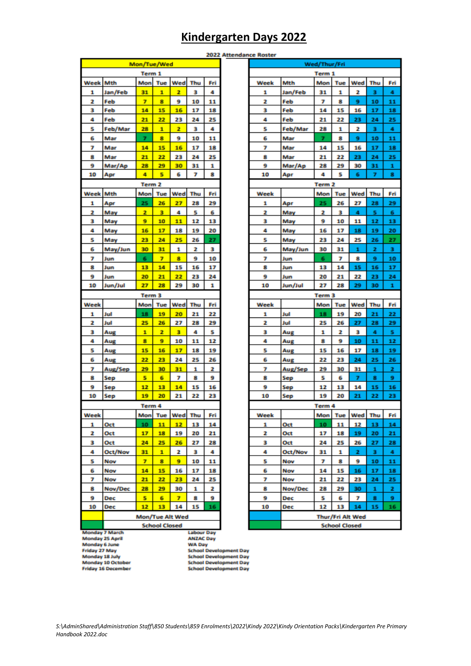# **Kindergarten Days 2022**

|                                                                                   | 2022 Attendar |                   |                      |     |     |     |  |
|-----------------------------------------------------------------------------------|---------------|-------------------|----------------------|-----|-----|-----|--|
|                                                                                   |               | Mon/Tue/Wed       |                      |     |     |     |  |
|                                                                                   |               | Term 1            |                      |     |     |     |  |
| Week                                                                              | <b>Mth</b>    | Mon               | Tue                  | Wed | Thu | Fri |  |
| 1                                                                                 | Jan/Feb       | 31                | 1                    | 2   | з   | 4   |  |
| 2                                                                                 | Feb           | 7                 | 8                    | 9   | 10  | 11  |  |
| 3                                                                                 | Feb           | 14                | 15                   | 16  | 17  | 18  |  |
| 4                                                                                 | Feb           | 21                | 22                   | 23  | 24  | 25  |  |
| 5                                                                                 | Feb/Mar       | 28                | 1                    | 2   | з   | 4   |  |
| 6                                                                                 | Mar           | 7                 | 8                    | 9   | 10  | 11  |  |
| 7                                                                                 | Mar           | 14                | 15                   | 16  | 17  | 18  |  |
| 8                                                                                 | Mar           | 21                | 22                   | 23  | 24  | 25  |  |
| 9                                                                                 | Mar/Ap        | 28                | 29                   | 30  | 31  | 1   |  |
| 10                                                                                | Apr           | 4                 | s                    | 6   | 7   | 8   |  |
|                                                                                   |               | Term <sub>2</sub> |                      |     |     |     |  |
| <b>Week</b>                                                                       | <b>Mth</b>    | Mon               | Tue                  | Wed | Thu | Fri |  |
| 1                                                                                 | Apr           | 25                | 26                   | 27  | 28  | 29  |  |
| 2                                                                                 | May           | 2                 | 3                    | 4   | 5   | 6   |  |
| 3                                                                                 | May           | 9                 | 10                   | 11  | 12  | 13  |  |
| 4                                                                                 | May           | 16                | 17                   | 18  | 19  | 20  |  |
| 5                                                                                 | May           | 23                | 24                   | 25  | 26  | 27  |  |
| 6                                                                                 | May/Jun       | 30                | 31                   | 1   | 2   | з   |  |
| 7                                                                                 | Jun           | 6                 | 7                    | 8   | 9   | 10  |  |
| 8                                                                                 | Jun           | 13                | 14                   | 15  | 16  | 17  |  |
| 9                                                                                 | Jun           | 20                | 21                   | 22  | 23  | 24  |  |
| 10                                                                                | Jun/Jul       | 27                | 28                   | 29  | 30  | 1   |  |
|                                                                                   |               | Term 3            |                      |     |     |     |  |
| Week                                                                              |               | Mon               | Tue                  | Wed | Thu | Fri |  |
| 1                                                                                 | Jul           | 18                | 19                   | 20  | 21  | 22  |  |
| 2                                                                                 | Jul           | 25                | 26                   | 27  | 28  | 29  |  |
| з                                                                                 | Aug           | 1                 | 2                    | з   | 4   | 5   |  |
| 4                                                                                 | Aug           | 8                 | 9                    | 10  | 11  | 12  |  |
| 5                                                                                 | Aug           | 15                | 16                   | 17  | 18  | 19  |  |
| 6                                                                                 | Aug           | 22                | 23                   | 24  | 25  | 26  |  |
| 7                                                                                 | Aug/Sep       | 29                | 30                   | 31  | 1   | 2   |  |
| 8                                                                                 | Sep           | s                 | 6                    | 7   | 8   | 9   |  |
| 9                                                                                 | Sep           | 12                | 13                   | 14  | 15  | 16  |  |
| 10                                                                                | Sep           | 19                | 20                   | 21  | 22  | 23  |  |
|                                                                                   |               | Term 4            |                      |     |     |     |  |
| Week                                                                              |               | Mon               | Tue                  | Wed | Thu | Fri |  |
| 1                                                                                 | Oct           | 10                | 11                   | 12  | 13  | 14  |  |
| 2                                                                                 | Oct           | 17                | 18                   | 19  | 20  | 21  |  |
| 3                                                                                 | Oct           | 24                | 25                   | 26  | 27  | 28  |  |
| 4                                                                                 | Oct/Nov       | 31                | 1                    | 2   | з   | 4   |  |
| 5                                                                                 | Nov           | 7                 | 8                    | 9   | 10  | 11  |  |
| 6                                                                                 | Nov           | 14                | 15                   | 16  | 17  | 18  |  |
| 7                                                                                 | Nov           | 21                | 22                   | 23  | 24  | 25  |  |
| 8                                                                                 | Nov/Dec       | 28                | 29                   | 30  | 1   | 2   |  |
| 9                                                                                 | Dec           | 5                 | 6                    | 7   | 8   | 9   |  |
| 10                                                                                | Dec           | 12                | 13                   | 14  | 15  | 16  |  |
| Mon/Tue Alt Wed                                                                   |               |                   |                      |     |     |     |  |
|                                                                                   |               |                   | <b>School Closed</b> |     |     |     |  |
| <b>Monday 7 March</b><br><b>Labour Day</b><br>Monday 25 April<br><b>ANZAC Day</b> |               |                   |                      |     |     |     |  |
| Monday 6 June<br>WA Day                                                           |               |                   |                      |     |     |     |  |

| nce Roster |                                          |                   |         |         |        |        |  |
|------------|------------------------------------------|-------------------|---------|---------|--------|--------|--|
|            | Wed/Thur/Fri                             |                   |         |         |        |        |  |
|            | Term 1                                   |                   |         |         |        |        |  |
| Week       | Mth                                      | Mon               | Tue     | Wed     | Thu    | Fri    |  |
| 1          | Jan/Feb                                  | 31                | 1       | 2       | з      | 4      |  |
| 2          | Feb                                      | 7                 | 8       | 9       | 10     | 11     |  |
| з          | Feb                                      | 14                | 15      | 16      | 17     | 18     |  |
| 4          | Feb                                      | 21                | 22      | 23      | 24     | 25     |  |
| 5          | Feb/Mar                                  | 28                | 1       | 2       | з      | 4      |  |
| 6          | Mar                                      | 7                 | 8       | 9       | 10     | 11     |  |
| 7          | Mar                                      | 14                | 15      | 16      | 17     | 18     |  |
| 8          | Mar                                      | 21                | 22      | 23      | 24     | 25     |  |
| 9          | Mar/Ap                                   | 28                | 29      | 30      | 31     | 1      |  |
| 10         | Apr                                      | 4                 | 5       | 6       | 7      | 8      |  |
|            |                                          | Term <sub>2</sub> |         |         |        |        |  |
| Week       |                                          | Mon               | Tue     | Wed     | Thu    | Fri    |  |
| 1          | Apr                                      | 25                | 26      | 27      | 28     | 29     |  |
| 2          | May                                      | 2                 | з       | 4       | s      | 6      |  |
| 3          | May                                      | 9                 | 10      | 11      | 12     | 13     |  |
| 4          | May                                      | 16                | 17      | 18      | 19     | 20     |  |
| 5          | May                                      | 23                | 24      | 25      | 26     | 27     |  |
| 6          | May/Jun                                  | 30                | 31      | 1       | 2      | з      |  |
| 7          | Jun                                      | 6                 | 7       | 8       | 9      | 10     |  |
| 8          | Jun                                      | 13                | 14      | 15      | 16     | 17     |  |
| 9          | Jun                                      | 20                | 21      | 22      | 23     | 24     |  |
| 10         | Jun/Jul                                  | 27                | 28      | 29      | 30     | 1      |  |
|            |                                          | Term <sub>3</sub> |         |         |        |        |  |
| Week       |                                          | Mon               | Tue     | Wed     | Thu    | Fri    |  |
| 1          | Jul                                      | 18                | 19      | 20      | 21     | 22     |  |
| 2          | Jul                                      | 25                | 26      | 27      | 28     | 29     |  |
| з          | Aug                                      | 1                 | 2       | з       | 4      | s      |  |
| 4          | Aug                                      | 8                 | 9       | 10      | 11     | 12     |  |
| 5          | Aug                                      | 15                | 16      | 17      | 18     | 19     |  |
| 6          | Aug                                      | 22                | 23      | 24      | 25     | 26     |  |
| 7<br>8     | Aug/Sep<br>Sep                           | 29<br>5           | 30<br>6 | 31<br>7 | 1<br>8 | 2<br>9 |  |
| 9          | Sep                                      | 12                | 13      | 14      | 15     | 16     |  |
| 10         | Sep                                      | 19                | 20      | 21      | 22     | 23     |  |
|            |                                          |                   |         |         |        |        |  |
| Week       |                                          | Term 4<br>Mon     | Tue     | Wed     | Thu    | Fri    |  |
| 1          | Oct                                      | 10                | 11      | 12      | 13     | 14     |  |
| 2          | Oct                                      | 17                | 18      | 19      | 20     | 21     |  |
| з          | Oct                                      | 24                | 25      | 26      | 27     | 28     |  |
| 4          | Oct/Nov                                  | 31                | 1       | 2       | з      | 4      |  |
| 5          | Nov                                      | 7                 | 8       | 9       | 10     | 11     |  |
| 6          | Nov                                      | 14                | 15      | 16      | 17     | 18     |  |
| 7          | Nov                                      | 21                | 22      | 23      | 24     | 25     |  |
| 8          | Nov/Dec                                  | 28                | 29      | 30      | 1      | 2      |  |
| 9          | Dec                                      | 5                 | 6       | 7       | 8      | 9      |  |
| 10         | Dec                                      | 12                | 13      | 14      | 15     | 16     |  |
|            |                                          |                   |         |         |        |        |  |
|            | Thur/Fri Alt Wed<br><b>School Closed</b> |                   |         |         |        |        |  |

Monday 6 June<br>Friday 27 May<br>Monday 18 July<br>Monday 16 December

WA Day<br>School Development Day<br>School Development Day<br>School Development Day<br>School Development Day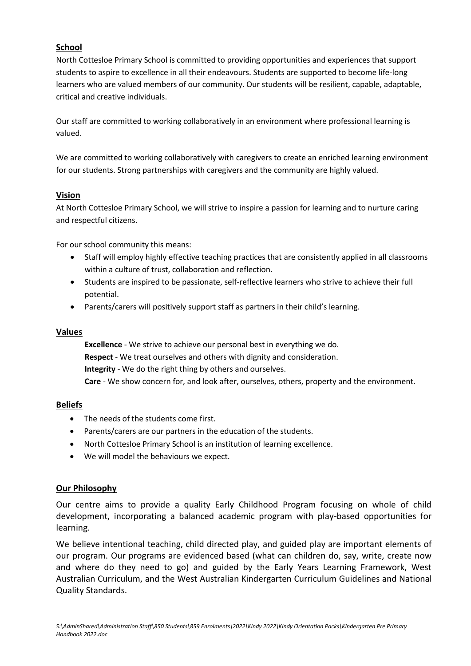# **School**

North Cottesloe Primary School is committed to providing opportunities and experiences that support students to aspire to excellence in all their endeavours. Students are supported to become life-long learners who are valued members of our community. Our students will be resilient, capable, adaptable, critical and creative individuals.

Our staff are committed to working collaboratively in an environment where professional learning is valued.

We are committed to working collaboratively with caregivers to create an enriched learning environment for our students. Strong partnerships with caregivers and the community are highly valued.

## **Vision**

At North Cottesloe Primary School, we will strive to inspire a passion for learning and to nurture caring and respectful citizens.

For our school community this means:

- Staff will employ highly effective teaching practices that are consistently applied in all classrooms within a culture of trust, collaboration and reflection.
- Students are inspired to be passionate, self-reflective learners who strive to achieve their full potential.
- Parents/carers will positively support staff as partners in their child's learning.

#### **Values**

**Excellence** - We strive to achieve our personal best in everything we do. **Respect** - We treat ourselves and others with dignity and consideration. **Integrity** - We do the right thing by others and ourselves. **Care** - We show concern for, and look after, ourselves, others, property and the environment.

#### **Beliefs**

- The needs of the students come first.
- Parents/carers are our partners in the education of the students.
- North Cottesloe Primary School is an institution of learning excellence.
- We will model the behaviours we expect.

#### **Our Philosophy**

Our centre aims to provide a quality Early Childhood Program focusing on whole of child development, incorporating a balanced academic program with play-based opportunities for learning.

We believe intentional teaching, child directed play, and guided play are important elements of our program. Our programs are evidenced based (what can children do, say, write, create now and where do they need to go) and guided by the Early Years Learning Framework, West Australian Curriculum, and the West Australian Kindergarten Curriculum Guidelines and National Quality Standards.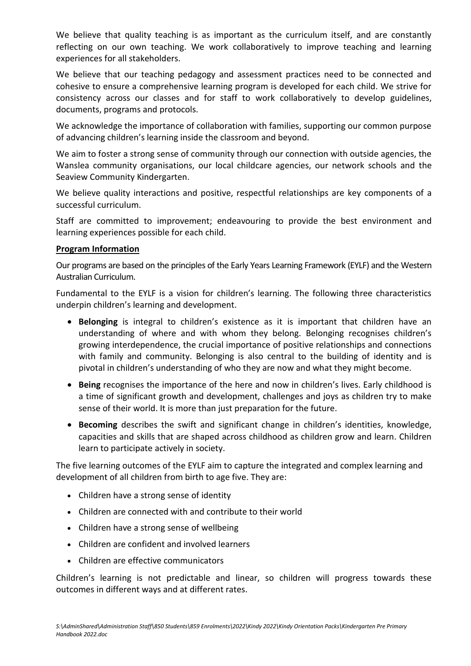We believe that quality teaching is as important as the curriculum itself, and are constantly reflecting on our own teaching. We work collaboratively to improve teaching and learning experiences for all stakeholders.

We believe that our teaching pedagogy and assessment practices need to be connected and cohesive to ensure a comprehensive learning program is developed for each child. We strive for consistency across our classes and for staff to work collaboratively to develop guidelines, documents, programs and protocols.

We acknowledge the importance of collaboration with families, supporting our common purpose of advancing children's learning inside the classroom and beyond.

We aim to foster a strong sense of community through our connection with outside agencies, the Wanslea community organisations, our local childcare agencies, our network schools and the Seaview Community Kindergarten.

We believe quality interactions and positive, respectful relationships are key components of a successful curriculum.

Staff are committed to improvement; endeavouring to provide the best environment and learning experiences possible for each child.

## **Program Information**

Our programs are based on the principles of the Early Years Learning Framework (EYLF) and the Western Australian Curriculum.

Fundamental to the EYLF is a vision for children's learning. The following three characteristics underpin children's learning and development.

- **Belonging** is integral to children's existence as it is important that children have an understanding of where and with whom they belong. Belonging recognises children's growing interdependence, the crucial importance of positive relationships and connections with family and community. Belonging is also central to the building of identity and is pivotal in children's understanding of who they are now and what they might become.
- **Being** recognises the importance of the here and now in children's lives. Early childhood is a time of significant growth and development, challenges and joys as children try to make sense of their world. It is more than just preparation for the future.
- **Becoming** describes the swift and significant change in children's identities, knowledge, capacities and skills that are shaped across childhood as children grow and learn. Children learn to participate actively in society.

The five learning outcomes of the EYLF aim to capture the integrated and complex learning and development of all children from birth to age five. They are:

- Children have a strong sense of identity
- Children are connected with and contribute to their world
- Children have a strong sense of wellbeing
- Children are confident and involved learners
- Children are effective communicators

Children's learning is not predictable and linear, so children will progress towards these outcomes in different ways and at different rates.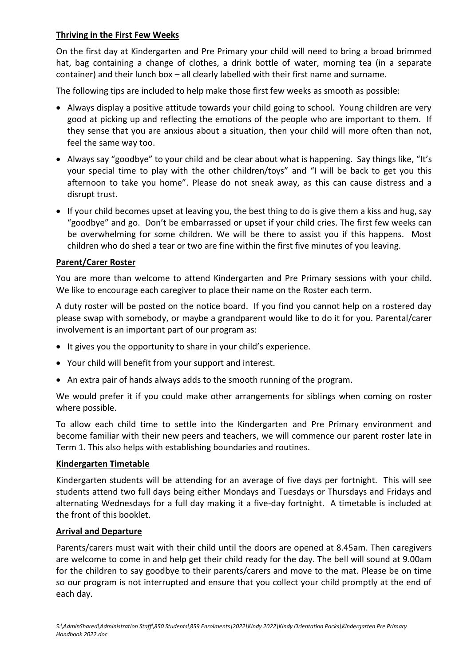# **Thriving in the First Few Weeks**

On the first day at Kindergarten and Pre Primary your child will need to bring a broad brimmed hat, bag containing a change of clothes, a drink bottle of water, morning tea (in a separate container) and their lunch box – all clearly labelled with their first name and surname.

The following tips are included to help make those first few weeks as smooth as possible:

- Always display a positive attitude towards your child going to school. Young children are very good at picking up and reflecting the emotions of the people who are important to them. If they sense that you are anxious about a situation, then your child will more often than not, feel the same way too.
- Always say "goodbye" to your child and be clear about what is happening. Say things like, "It's your special time to play with the other children/toys" and "I will be back to get you this afternoon to take you home". Please do not sneak away, as this can cause distress and a disrupt trust.
- If your child becomes upset at leaving you, the best thing to do is give them a kiss and hug, say "goodbye" and go. Don't be embarrassed or upset if your child cries. The first few weeks can be overwhelming for some children. We will be there to assist you if this happens. Most children who do shed a tear or two are fine within the first five minutes of you leaving.

## **Parent/Carer Roster**

You are more than welcome to attend Kindergarten and Pre Primary sessions with your child. We like to encourage each caregiver to place their name on the Roster each term.

A duty roster will be posted on the notice board. If you find you cannot help on a rostered day please swap with somebody, or maybe a grandparent would like to do it for you. Parental/carer involvement is an important part of our program as:

- It gives you the opportunity to share in your child's experience.
- Your child will benefit from your support and interest.
- An extra pair of hands always adds to the smooth running of the program.

We would prefer it if you could make other arrangements for siblings when coming on roster where possible.

To allow each child time to settle into the Kindergarten and Pre Primary environment and become familiar with their new peers and teachers, we will commence our parent roster late in Term 1. This also helps with establishing boundaries and routines.

#### **Kindergarten Timetable**

Kindergarten students will be attending for an average of five days per fortnight. This will see students attend two full days being either Mondays and Tuesdays or Thursdays and Fridays and alternating Wednesdays for a full day making it a five-day fortnight. A timetable is included at the front of this booklet.

#### **Arrival and Departure**

Parents/carers must wait with their child until the doors are opened at 8.45am. Then caregivers are welcome to come in and help get their child ready for the day. The bell will sound at 9.00am for the children to say goodbye to their parents/carers and move to the mat. Please be on time so our program is not interrupted and ensure that you collect your child promptly at the end of each day.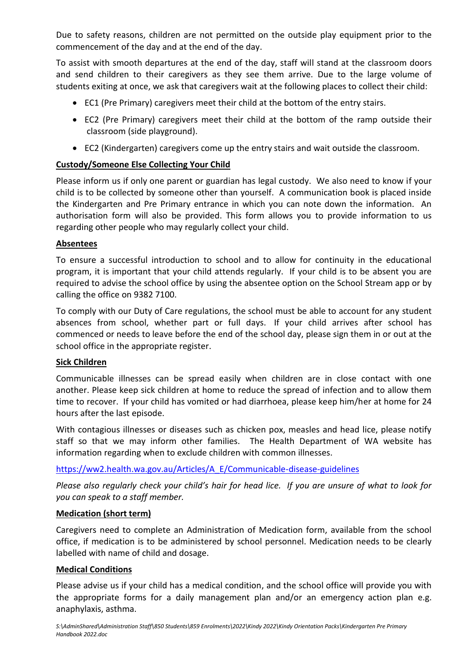Due to safety reasons, children are not permitted on the outside play equipment prior to the commencement of the day and at the end of the day.

To assist with smooth departures at the end of the day, staff will stand at the classroom doors and send children to their caregivers as they see them arrive. Due to the large volume of students exiting at once, we ask that caregivers wait at the following places to collect their child:

- EC1 (Pre Primary) caregivers meet their child at the bottom of the entry stairs.
- EC2 (Pre Primary) caregivers meet their child at the bottom of the ramp outside their classroom (side playground).
- EC2 (Kindergarten) caregivers come up the entry stairs and wait outside the classroom.

# **Custody/Someone Else Collecting Your Child**

Please inform us if only one parent or guardian has legal custody. We also need to know if your child is to be collected by someone other than yourself. A communication book is placed inside the Kindergarten and Pre Primary entrance in which you can note down the information. An authorisation form will also be provided. This form allows you to provide information to us regarding other people who may regularly collect your child.

# **Absentees**

To ensure a successful introduction to school and to allow for continuity in the educational program, it is important that your child attends regularly. If your child is to be absent you are required to advise the school office by using the absentee option on the School Stream app or by calling the office on 9382 7100.

To comply with our Duty of Care regulations, the school must be able to account for any student absences from school, whether part or full days. If your child arrives after school has commenced or needs to leave before the end of the school day, please sign them in or out at the school office in the appropriate register.

# **Sick Children**

Communicable illnesses can be spread easily when children are in close contact with one another. Please keep sick children at home to reduce the spread of infection and to allow them time to recover. If your child has vomited or had diarrhoea, please keep him/her at home for 24 hours after the last episode.

With contagious illnesses or diseases such as chicken pox, measles and head lice, please notify staff so that we may inform other families. The Health Department of WA website has information regarding when to exclude children with common illnesses.

[https://ww2.health.wa.gov.au/Articles/A\\_E/Communicable-disease-guidelines](https://ww2.health.wa.gov.au/Articles/A_E/Communicable-disease-guidelines)

*Please also regularly check your child's hair for head lice. If you are unsure of what to look for you can speak to a staff member.*

# **Medication (short term)**

Caregivers need to complete an Administration of Medication form, available from the school office, if medication is to be administered by school personnel. Medication needs to be clearly labelled with name of child and dosage.

# **Medical Conditions**

Please advise us if your child has a medical condition, and the school office will provide you with the appropriate forms for a daily management plan and/or an emergency action plan e.g. anaphylaxis, asthma.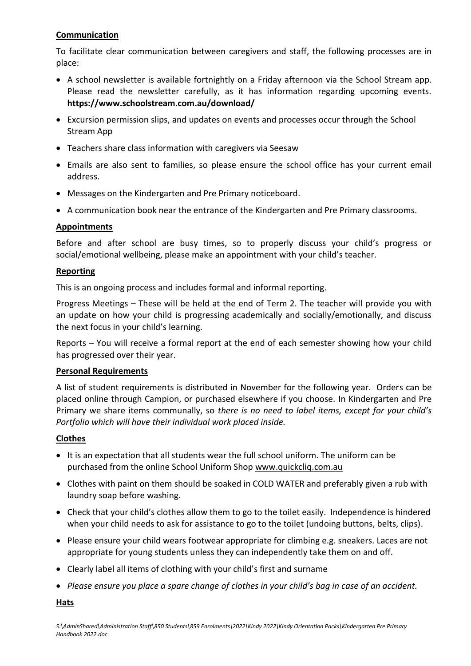# **Communication**

To facilitate clear communication between caregivers and staff, the following processes are in place:

- A school newsletter is available fortnightly on a Friday afternoon via the School Stream app. Please read the newsletter carefully, as it has information regarding upcoming events. **https://www.schoolstream.com.au/download/**
- Excursion permission slips, and updates on events and processes occur through the School Stream App
- Teachers share class information with caregivers via Seesaw
- Emails are also sent to families, so please ensure the school office has your current email address.
- Messages on the Kindergarten and Pre Primary noticeboard.
- A communication book near the entrance of the Kindergarten and Pre Primary classrooms.

# **Appointments**

Before and after school are busy times, so to properly discuss your child's progress or social/emotional wellbeing, please make an appointment with your child's teacher.

# **Reporting**

This is an ongoing process and includes formal and informal reporting.

Progress Meetings – These will be held at the end of Term 2. The teacher will provide you with an update on how your child is progressing academically and socially/emotionally, and discuss the next focus in your child's learning.

Reports – You will receive a formal report at the end of each semester showing how your child has progressed over their year.

# **Personal Requirements**

A list of student requirements is distributed in November for the following year. Orders can be placed online through Campion, or purchased elsewhere if you choose. In Kindergarten and Pre Primary we share items communally, so *there is no need to label items, except for your child's Portfolio which will have their individual work placed inside.* 

# **Clothes**

- It is an expectation that all students wear the full school uniform. The uniform can be purchased from the online School Uniform Shop www.quickcliq.com.au
- Clothes with paint on them should be soaked in COLD WATER and preferably given a rub with laundry soap before washing.
- Check that your child's clothes allow them to go to the toilet easily. Independence is hindered when your child needs to ask for assistance to go to the toilet (undoing buttons, belts, clips).
- Please ensure your child wears footwear appropriate for climbing e.g. sneakers. Laces are not appropriate for young students unless they can independently take them on and off.
- Clearly label all items of clothing with your child's first and surname
- *Please ensure you place a spare change of clothes in your child's bag in case of an accident.*

**Hats**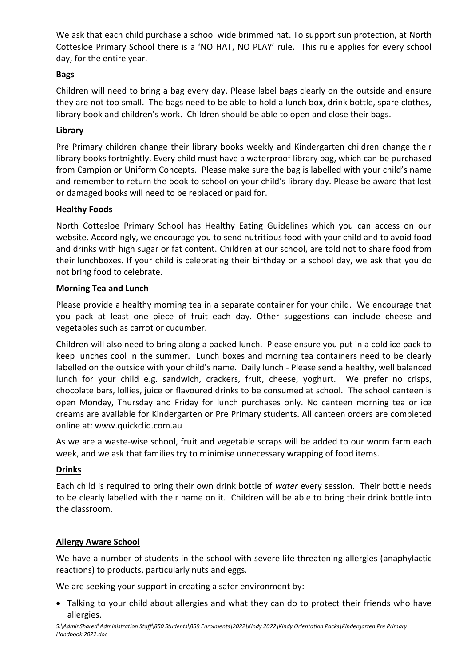We ask that each child purchase a school wide brimmed hat. To support sun protection, at North Cottesloe Primary School there is a 'NO HAT, NO PLAY' rule. This rule applies for every school day, for the entire year.

# **Bags**

Children will need to bring a bag every day. Please label bags clearly on the outside and ensure they are not too small. The bags need to be able to hold a lunch box, drink bottle, spare clothes, library book and children's work. Children should be able to open and close their bags.

# **Library**

Pre Primary children change their library books weekly and Kindergarten children change their library books fortnightly. Every child must have a waterproof library bag, which can be purchased from Campion or Uniform Concepts. Please make sure the bag is labelled with your child's name and remember to return the book to school on your child's library day. Please be aware that lost or damaged books will need to be replaced or paid for.

# **Healthy Foods**

North Cottesloe Primary School has Healthy Eating Guidelines which you can access on our website. Accordingly, we encourage you to send nutritious food with your child and to avoid food and drinks with high sugar or fat content. Children at our school, are told not to share food from their lunchboxes. If your child is celebrating their birthday on a school day, we ask that you do not bring food to celebrate.

## **Morning Tea and Lunch**

Please provide a healthy morning tea in a separate container for your child. We encourage that you pack at least one piece of fruit each day. Other suggestions can include cheese and vegetables such as carrot or cucumber.

Children will also need to bring along a packed lunch. Please ensure you put in a cold ice pack to keep lunches cool in the summer. Lunch boxes and morning tea containers need to be clearly labelled on the outside with your child's name. Daily lunch - Please send a healthy, well balanced lunch for your child e.g. sandwich, crackers, fruit, cheese, yoghurt. We prefer no crisps, chocolate bars, lollies, juice or flavoured drinks to be consumed at school. The school canteen is open Monday, Thursday and Friday for lunch purchases only. No canteen morning tea or ice creams are available for Kindergarten or Pre Primary students. All canteen orders are completed online at: www.quickcliq.com.au

As we are a waste-wise school, fruit and vegetable scraps will be added to our worm farm each week, and we ask that families try to minimise unnecessary wrapping of food items.

# **Drinks**

Each child is required to bring their own drink bottle of *water* every session. Their bottle needs to be clearly labelled with their name on it. Children will be able to bring their drink bottle into the classroom.

# **Allergy Aware School**

We have a number of students in the school with severe life threatening allergies (anaphylactic reactions) to products, particularly nuts and eggs.

We are seeking your support in creating a safer environment by:

• Talking to your child about allergies and what they can do to protect their friends who have allergies.